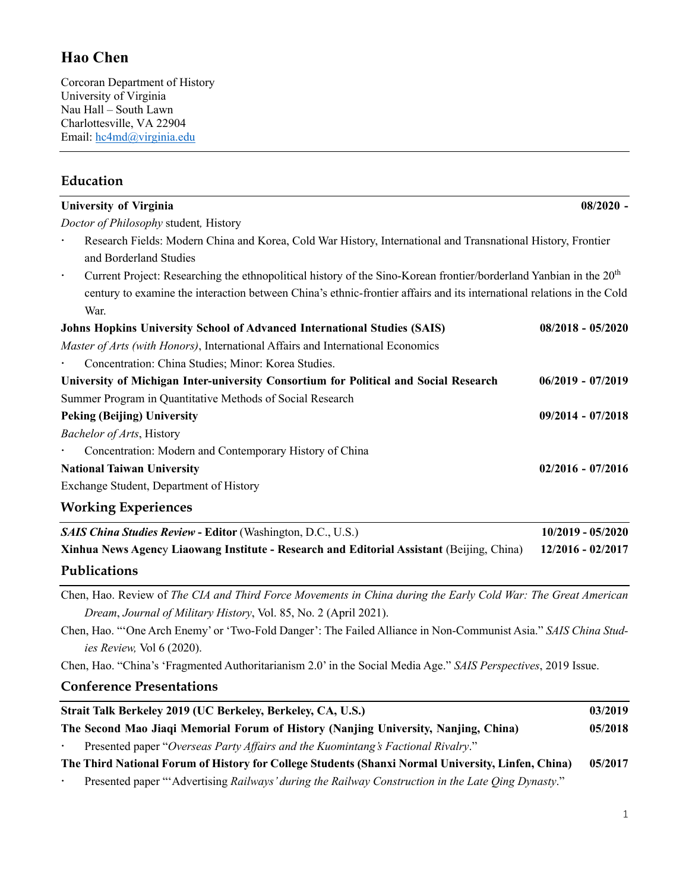## **Hao Chen**

Corcoran Department of History University of Virginia Nau Hall – South Lawn Charlottesville, VA 22904 Email: hc4md@virginia.edu

## **Education**

| <b>University of Virginia</b>                                                                                                               | $08/2020$ -         |
|---------------------------------------------------------------------------------------------------------------------------------------------|---------------------|
| Doctor of Philosophy student, History                                                                                                       |                     |
| Research Fields: Modern China and Korea, Cold War History, International and Transnational History, Frontier                                |                     |
| and Borderland Studies                                                                                                                      |                     |
| Current Project: Researching the ethnopolitical history of the Sino-Korean frontier/borderland Yanbian in the 20 <sup>th</sup><br>$\bullet$ |                     |
| century to examine the interaction between China's ethnic-frontier affairs and its international relations in the Cold                      |                     |
| War.                                                                                                                                        |                     |
| Johns Hopkins University School of Advanced International Studies (SAIS)                                                                    | $08/2018 - 05/2020$ |
| Master of Arts (with Honors), International Affairs and International Economics                                                             |                     |
| Concentration: China Studies; Minor: Korea Studies.                                                                                         |                     |
| University of Michigan Inter-university Consortium for Political and Social Research                                                        | $06/2019 - 07/2019$ |
| Summer Program in Quantitative Methods of Social Research                                                                                   |                     |
| <b>Peking (Beijing) University</b>                                                                                                          | 09/2014 - 07/2018   |
| Bachelor of Arts, History                                                                                                                   |                     |
| Concentration: Modern and Contemporary History of China                                                                                     |                     |
| <b>National Taiwan University</b>                                                                                                           | $02/2016 - 07/2016$ |
| Exchange Student, Department of History                                                                                                     |                     |
| <b>Working Experiences</b>                                                                                                                  |                     |
| <b>SAIS China Studies Review - Editor (Washington, D.C., U.S.)</b>                                                                          | $10/2019 - 05/2020$ |
| Xinhua News Agency Liaowang Institute - Research and Editorial Assistant (Beijing, China)                                                   | 12/2016 - 02/2017   |
| Publications                                                                                                                                |                     |
| Chen, Hao. Review of The CIA and Third Force Movements in China during the Early Cold War: The Great American                               |                     |
| Dream, Journal of Military History, Vol. 85, No. 2 (April 2021).                                                                            |                     |
| Chen, Hao. "'One Arch Enemy' or 'Two-Fold Danger': The Failed Alliance in Non-Communist Asia." SAIS China Stud-                             |                     |
| ies Review, Vol 6 (2020).                                                                                                                   |                     |
| Chen, Hao. "China's 'Fragmented Authoritarianism 2.0' in the Social Media Age." SAIS Perspectives, 2019 Issue.                              |                     |
| <b>Conference Presentations</b>                                                                                                             |                     |
| Strait Talk Berkeley 2019 (UC Berkeley, Berkeley, CA, U.S.)                                                                                 | 03/2019             |
| The Second Mao Jiaqi Memorial Forum of History (Nanjing University, Nanjing, China)                                                         | 05/2018             |

Presented paper "*Overseas Party Affairs and the Kuomintang's Factional Rivalry*."

**The Third National Forum of History for College Students (Shanxi Normal University, Linfen, China) 05/2017**

Presented paper "'Advertising *Railways' during the Railway Construction in the Late Qing Dynasty*."